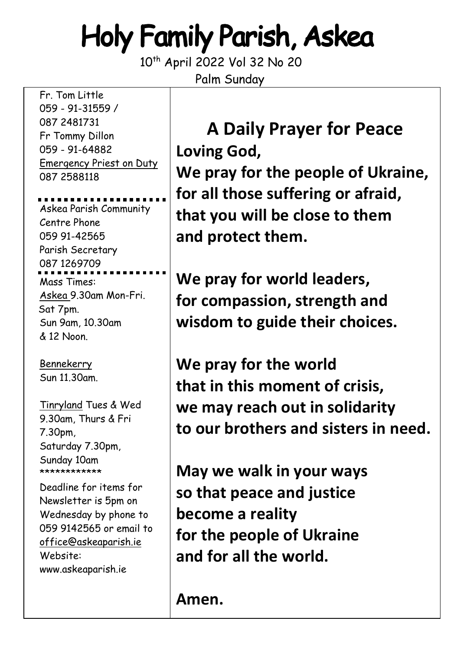# Holy Family Parish, Askea

10<sup>th</sup> April 2022 Vol 32 No 20 Palm Sunday

Fr. Tom Little 059 - 91-31559 / 087 2481731 Fr Tommy Dillon 059 - 91-64882 Emergency Priest on Duty 087 2588118

Askea Parish Community Centre Phone 059 91-42565 Parish Secretary 087 1269709 Mass Times: Askea 9.30am Mon-Fri. Sat 7pm. Sun 9am, 10.30am & 12 Noon.

Bennekerry Sun 11.30am.

Tinryland Tues & Wed 9.30am, Thurs & Fri 7.30pm, Saturday 7.30pm, Sunday 10am \*\*\*\*\*\*\*\*\*\*\*

Deadline for items for Newsletter is 5pm on Wednesday by phone to 059 9142565 or email to [office@askeaparish.ie](mailto:office@askeaparish.ie) Website: www.askeaparish.ie

**A Daily Prayer for Peace Loving God, We pray for the people of Ukraine, for all those suffering or afraid, that you will be close to them and protect them.**

**We pray for world leaders, for compassion, strength and wisdom to guide their choices.**

**We pray for the world that in this moment of crisis, we may reach out in solidarity to our brothers and sisters in need.**

**May we walk in your ways so that peace and justice become a reality for the people of Ukraine and for all the world.**

**Amen.**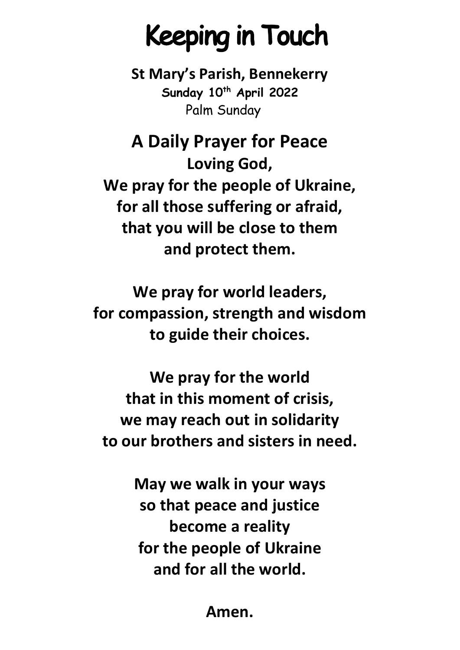# Keeping in Touch

**St Mary's Parish, Bennekerry Sunday 10th April 2022** Palm Sunday

**A Daily Prayer for Peace Loving God, We pray for the people of Ukraine, for all those suffering or afraid, that you will be close to them and protect them.**

**We pray for world leaders, for compassion, strength and wisdom to guide their choices.**

**We pray for the world that in this moment of crisis, we may reach out in solidarity to our brothers and sisters in need.**

> **May we walk in your ways so that peace and justice become a reality for the people of Ukraine and for all the world.**

> > **Amen.**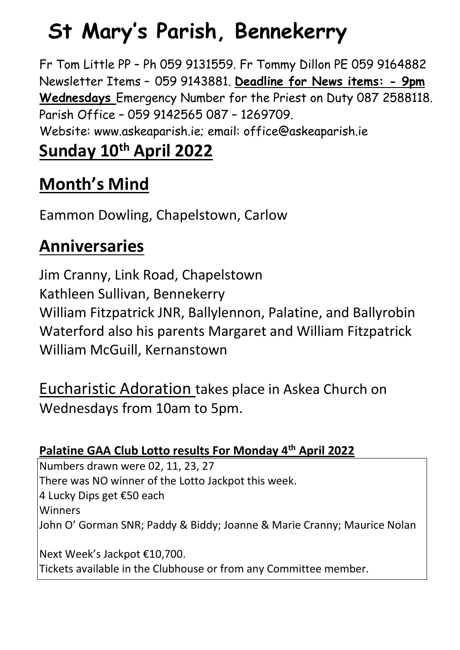## **St Mary's Parish, Bennekerry**

Fr Tom Little PP – Ph 059 9131559. Fr Tommy Dillon PE 059 9164882 Newsletter Items – 059 9143881. **Deadline for News items: - 9pm Wednesdays** Emergency Number for the Priest on Duty 087 2588118. Parish Office – 059 9142565 087 – 1269709.

Website: www.askeaparish.ie; email: office@askeaparish.ie

## **Sunday 10th April 2022**

## **Month's Mind**

Eammon Dowling, Chapelstown, Carlow

### **Anniversaries**

Jim Cranny, Link Road, Chapelstown Kathleen Sullivan, Bennekerry William Fitzpatrick JNR, Ballylennon, Palatine, and Ballyrobin Waterford also his parents Margaret and William Fitzpatrick William McGuill, Kernanstown

Eucharistic Adoration takes place in Askea Church on Wednesdays from 10am to 5pm.

### **Palatine GAA Club Lotto results For Monday 4th April 2022**

Numbers drawn were 02,  $1\overline{1, 23, 27}$ There was NO winner of the Lotto Jackpot this week. 4 Lucky Dips get €50 each **Winners** John O' Gorman SNR; Paddy & Biddy; Joanne & Marie Cranny; Maurice Nolan Next Week's Jackpot €10,700. Tickets available in the Clubhouse or from any Committee member.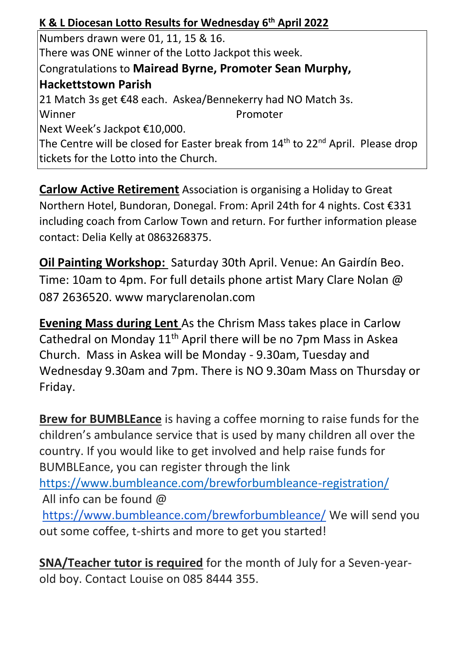#### **K & L Diocesan Lotto Results for Wednesday 6 th April 2022**

Numbers drawn were 01, 11, 15 & 16. There was ONE winner of the Lotto Jackpot this week. Congratulations to **Mairead Byrne, Promoter Sean Murphy, Hackettstown Parish** 21 Match 3s get €48 each. Askea/Bennekerry had NO Match 3s. Winner Promoter Next Week's Jackpot €10,000. The Centre will be closed for Easter break from 14<sup>th</sup> to 22<sup>nd</sup> April. Please drop tickets for the Lotto into the Church.

**Carlow Active Retirement** Association is organising a Holiday to Great Northern Hotel, Bundoran, Donegal. From: April 24th for 4 nights. Cost €331 including coach from Carlow Town and return. For further information please contact: Delia Kelly at 0863268375.

**Oil Painting Workshop:** Saturday 30th April. Venue: An Gairdín Beo. Time: 10am to 4pm. For full details phone artist Mary Clare Nolan @ 087 2636520. www maryclarenolan.com

**Evening Mass during Lent** As the Chrism Mass takes place in Carlow Cathedral on Monday 11<sup>th</sup> April there will be no 7pm Mass in Askea Church. Mass in Askea will be Monday - 9.30am, Tuesday and Wednesday 9.30am and 7pm. There is NO 9.30am Mass on Thursday or Friday.

**Brew for BUMBLEance** is having a coffee morning to raise funds for the children's ambulance service that is used by many children all over the country. If you would like to get involved and help raise funds for BUMBLEance, you can register through the link <https://www.bumbleance.com/brewforbumbleance-registration/> All info can be found @ <https://www.bumbleance.com/brewforbumbleance/> We will send you out some coffee, t-shirts and more to get you started!

**SNA/Teacher tutor is required** for the month of July for a Seven-yearold boy. Contact Louise on 085 8444 355.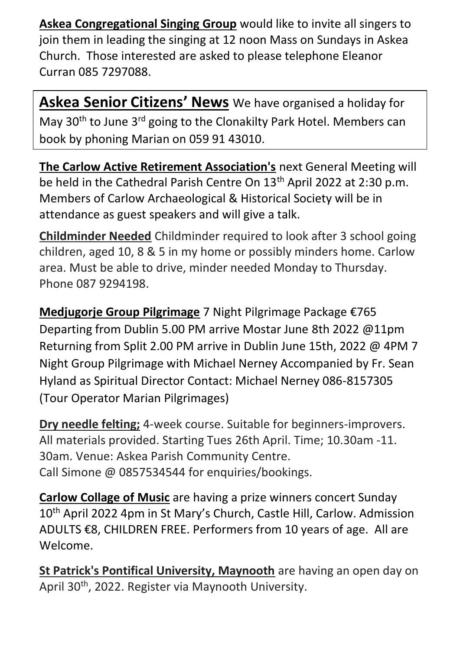**Askea Congregational Singing Group** would like to invite all singers to join them in leading the singing at 12 noon Mass on Sundays in Askea Church. Those interested are asked to please telephone Eleanor Curran 085 7297088.

**Askea Senior Citizens' News** We have organised a holiday for May 30<sup>th</sup> to June 3<sup>rd</sup> going to the Clonakilty Park Hotel. Members can book by phoning Marian on 059 91 43010.

**The Carlow Active Retirement Association's** next General Meeting will be held in the Cathedral Parish Centre On 13<sup>th</sup> April 2022 at 2:30 p.m. Members of Carlow Archaeological & Historical Society will be in attendance as guest speakers and will give a talk.

**Childminder Needed** Childminder required to look after 3 school going children, aged 10, 8 & 5 in my home or possibly minders home. Carlow area. Must be able to drive, minder needed Monday to Thursday. Phone 087 9294198.

**Medjugorje Group Pilgrimage** 7 Night Pilgrimage Package €765 Departing from Dublin 5.00 PM arrive Mostar June 8th 2022 @11pm Returning from Split 2.00 PM arrive in Dublin June 15th, 2022 @ 4PM 7 Night Group Pilgrimage with Michael Nerney Accompanied by Fr. Sean Hyland as Spiritual Director Contact: Michael Nerney 086-8157305 (Tour Operator Marian Pilgrimages)

**Dry needle felting;** 4-week course. Suitable for beginners-improvers. All materials provided. Starting Tues 26th April. Time; 10.30am -11. 30am. Venue: Askea Parish Community Centre. Call Simone @ 0857534544 for enquiries/bookings.

**Carlow Collage of Music** are having a prize winners concert Sunday 10<sup>th</sup> April 2022 4pm in St Mary's Church, Castle Hill, Carlow. Admission ADULTS €8, CHILDREN FREE. Performers from 10 years of age. All are Welcome.

**St Patrick's Pontifical University, Maynooth** are having an open day on April 30<sup>th</sup>, 2022. Register via Maynooth University.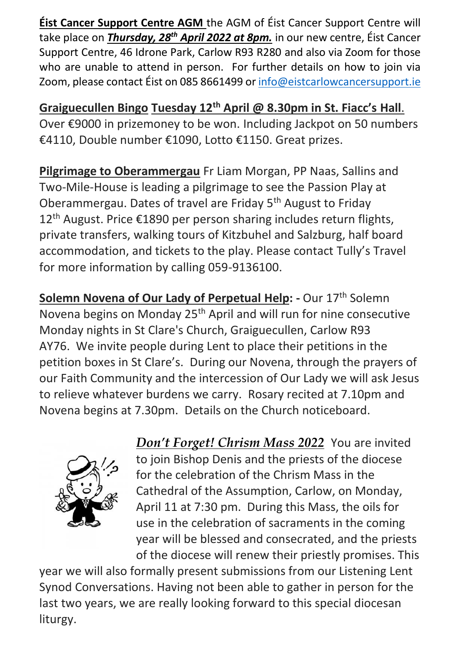**Éist Cancer Support Centre AGM** the AGM of Éist Cancer Support Centre will take place on *Thursday, 28th April 2022 at 8pm.* in our new centre, Éist Cancer Support Centre, 46 Idrone Park, Carlow R93 R280 and also via Zoom for those who are unable to attend in person. For further details on how to join via Zoom, please contact Éist on 085 8661499 o[r info@eistcarlowcancersupport.ie](mailto:info@eistcarlowcancersupport.ie)

**Graiguecullen Bingo Tuesday 12th April @ 8.30pm in St. Fiacc's Hall**. Over €9000 in prizemoney to be won. Including Jackpot on 50 numbers €4110, Double number €1090, Lotto €1150. Great prizes.

**Pilgrimage to Oberammergau** Fr Liam Morgan, PP Naas, Sallins and Two-Mile-House is leading a pilgrimage to see the Passion Play at Oberammergau. Dates of travel are Friday 5th August to Friday 12<sup>th</sup> August. Price €1890 per person sharing includes return flights, private transfers, walking tours of Kitzbuhel and Salzburg, half board accommodation, and tickets to the play. Please contact Tully's Travel for more information by calling 059-9136100.

**Solemn Novena of Our Lady of Perpetual Help: - Our 17<sup>th</sup> Solemn** Novena begins on Monday 25<sup>th</sup> April and will run for nine consecutive Monday nights in St Clare's Church, Graiguecullen, Carlow R93 AY76. We invite people during Lent to place their petitions in the petition boxes in St Clare's. During our Novena, through the prayers of our Faith Community and the intercession of Our Lady we will ask Jesus to relieve whatever burdens we carry. Rosary recited at 7.10pm and Novena begins at 7.30pm. Details on the Church noticeboard.



*Don't Forget! Chrism Mass 2022* You are invited to join Bishop Denis and the priests of the diocese for the celebration of the Chrism Mass in the Cathedral of the Assumption, Carlow, on Monday, April 11 at 7:30 pm. During this Mass, the oils for use in the celebration of sacraments in the coming year will be blessed and consecrated, and the priests of the diocese will renew their priestly promises. This

year we will also formally present submissions from our Listening Lent Synod Conversations. Having not been able to gather in person for the last two years, we are really looking forward to this special diocesan liturgy.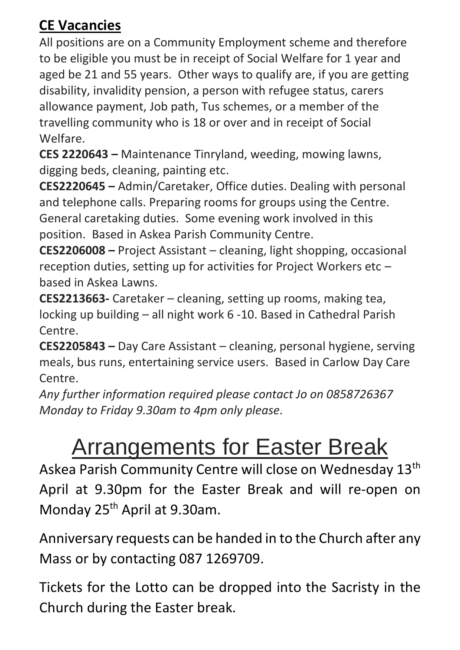#### **CE Vacancies**

All positions are on a Community Employment scheme and therefore to be eligible you must be in receipt of Social Welfare for 1 year and aged be 21 and 55 years. Other ways to qualify are, if you are getting disability, invalidity pension, a person with refugee status, carers allowance payment, Job path, Tus schemes, or a member of the travelling community who is 18 or over and in receipt of Social Welfare.

**CES 2220643 –** Maintenance Tinryland, weeding, mowing lawns, digging beds, cleaning, painting etc.

**CES2220645 –** Admin/Caretaker, Office duties. Dealing with personal and telephone calls. Preparing rooms for groups using the Centre. General caretaking duties. Some evening work involved in this position. Based in Askea Parish Community Centre.

**CES2206008 –** Project Assistant – cleaning, light shopping, occasional reception duties, setting up for activities for Project Workers etc – based in Askea Lawns.

**CES2213663-** Caretaker – cleaning, setting up rooms, making tea, locking up building – all night work 6 -10. Based in Cathedral Parish Centre.

**CES2205843 –** Day Care Assistant – cleaning, personal hygiene, serving meals, bus runs, entertaining service users. Based in Carlow Day Care Centre.

*Any further information required please contact Jo on 0858726367 Monday to Friday 9.30am to 4pm only please.*

## Arrangements for Easter Break

Askea Parish Community Centre will close on Wednesday 13th April at 9.30pm for the Easter Break and will re-open on Monday 25<sup>th</sup> April at 9.30am.

Anniversary requests can be handed in to the Church after any Mass or by contacting 087 1269709.

Tickets for the Lotto can be dropped into the Sacristy in the Church during the Easter break.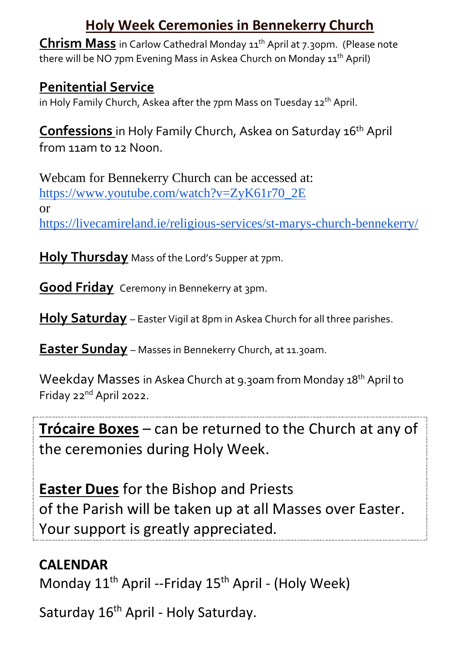#### **Holy Week Ceremonies in Bennekerry Church**

**Chrism Mass** in Carlow Cathedral Monday 11<sup>th</sup> April at 7.30pm. (Please note there will be NO 7pm Evening Mass in Askea Church on Monday 11<sup>th</sup> April)

#### **Penitential Service**

in Holy Family Church, Askea after the 7pm Mass on Tuesday 12<sup>th</sup> April.

**Confessions** in Holy Family Church, Askea on Saturday 16th April from 11am to 12 Noon.

Webcam for Bennekerry Church can be accessed at: [https://www.youtube.com/watch?v=ZyK61r70\\_2E](https://www.youtube.com/watch?v=ZyK61r70_2E) or <https://livecamireland.ie/religious-services/st-marys-church-bennekerry/>

**Holy Thursday** Mass of the Lord's Supper at 7pm.

**Good Friday** Ceremony in Bennekerry at 3pm.

**Holy Saturday** – Easter Vigil at 8pm in Askea Church for all three parishes.

**Easter Sunday** – Masses in Bennekerry Church, at 11.30am.

Weekday Masses in Askea Church at 9.30am from Monday 18<sup>th</sup> April to Friday 22nd April 2022.

**Trócaire Boxes** – can be returned to the Church at any of the ceremonies during Holy Week.

**Easter Dues** for the Bishop and Priests of the Parish will be taken up at all Masses over Easter. Your support is greatly appreciated.

#### **CALENDAR**

Monday  $11<sup>th</sup>$  April --Friday  $15<sup>th</sup>$  April - (Holy Week)

Saturday 16<sup>th</sup> April - Holy Saturday.